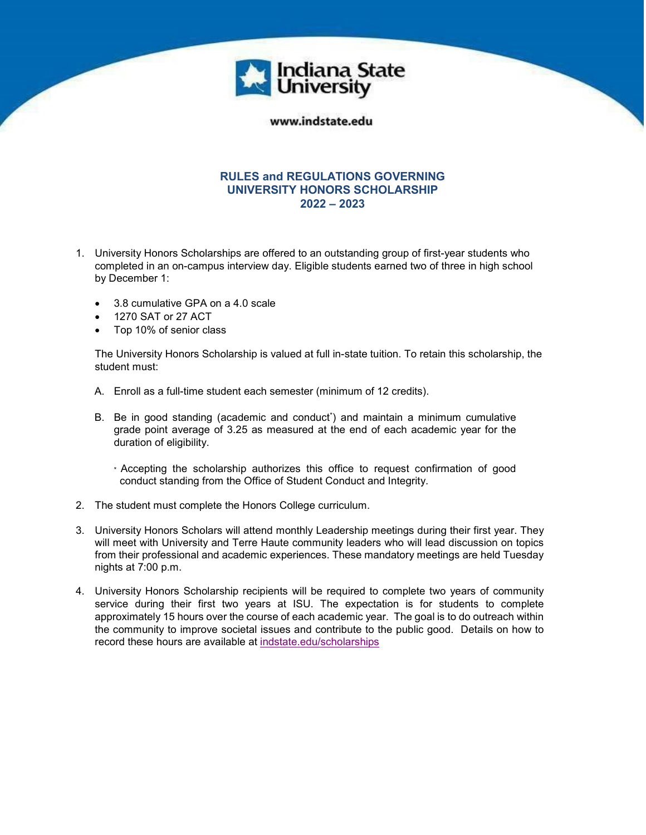

## www.indstate.edu

## **RULES and REGULATIONS GOVERNING UNIVERSITY HONORS SCHOLARSHIP 2022 – 2023**

- 1. University Honors Scholarships are offered to an outstanding group of first-year students who completed in an on-campus interview day. Eligible students earned two of three in high school by December 1:
	- 3.8 cumulative GPA on a 4.0 scale
	- 1270 SAT or 27 ACT
	- Top 10% of senior class

The University Honors Scholarship is valued at full in-state tuition. To retain this scholarship, the student must:

- A. Enroll as a full-time student each semester (minimum of 12 credits).
- B. Be in good standing (academic and conduct<sup>\*</sup>) and maintain a minimum cumulative grade point average of 3.25 as measured at the end of each academic year for the duration of eligibility.
	- \* Accepting the scholarship authorizes this office to request confirmation of good conduct standing from the Office of Student Conduct and Integrity.
- 2. The student must complete the Honors College curriculum.
- 3. University Honors Scholars will attend monthly Leadership meetings during their first year. They will meet with University and Terre Haute community leaders who will lead discussion on topics from their professional and academic experiences. These mandatory meetings are held Tuesday nights at 7:00 p.m.
- 4. University Honors Scholarship recipients will be required to complete two years of community service during their first two years at ISU. The expectation is for students to complete approximately 15 hours over the course of each academic year. The goal is to do outreach within the community to improve societal issues and contribute to the public good. Details on how to record these hours are available at indstate.edu/scholarships